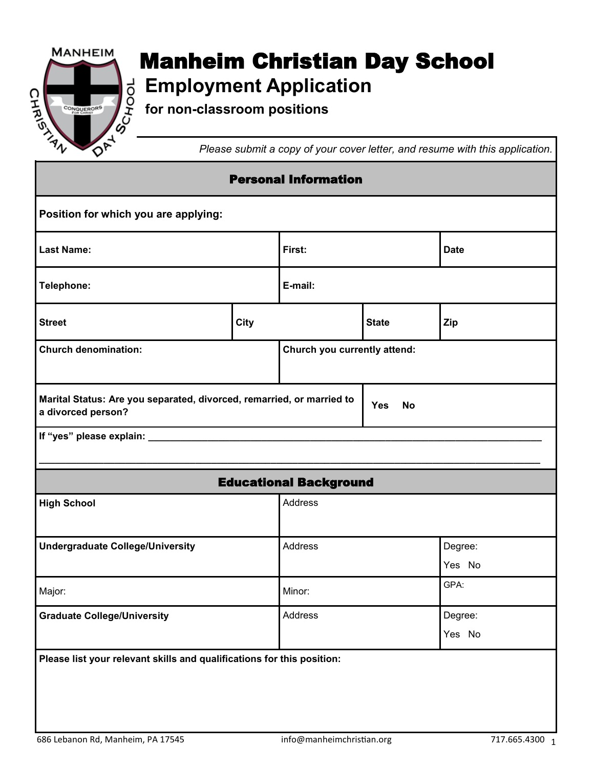

## **Manheim Christian Day School**<br> $\begin{array}{r} \n\downarrow \text{d} \n\downarrow \text{employment Application} \n\downarrow \text{for non-classroom positions}\n\downarrow \text{d} \n\end{array}$ **Employment Application**

**for non-classroom positions**

*Please submit a copy of your cover letter, and resume with this application.*

| <b>Personal Information</b>                                                                 |      |                               |              |             |  |
|---------------------------------------------------------------------------------------------|------|-------------------------------|--------------|-------------|--|
| Position for which you are applying:                                                        |      |                               |              |             |  |
| <b>Last Name:</b>                                                                           |      | First:                        |              | <b>Date</b> |  |
| Telephone:                                                                                  |      | E-mail:                       |              |             |  |
| <b>Street</b>                                                                               | City |                               | <b>State</b> | Zip         |  |
| <b>Church denomination:</b>                                                                 |      | Church you currently attend:  |              |             |  |
| Marital Status: Are you separated, divorced, remarried, or married to<br>a divorced person? |      | <b>Yes</b><br><b>No</b>       |              |             |  |
| If "yes" please explain: ________                                                           |      |                               |              |             |  |
|                                                                                             |      | <b>Educational Background</b> |              |             |  |
| <b>High School</b>                                                                          |      | Address                       |              |             |  |
| <b>Undergraduate College/University</b>                                                     |      | Address                       |              | Degree:     |  |
|                                                                                             |      |                               |              | Yes No      |  |
| Major:                                                                                      |      | Minor:                        |              | GPA:        |  |
| <b>Graduate College/University</b>                                                          |      | Address                       |              | Degree:     |  |
|                                                                                             |      |                               |              | Yes No      |  |
| Please list your relevant skills and qualifications for this position:                      |      |                               |              |             |  |
|                                                                                             |      |                               |              |             |  |
|                                                                                             |      |                               |              |             |  |
|                                                                                             |      |                               |              |             |  |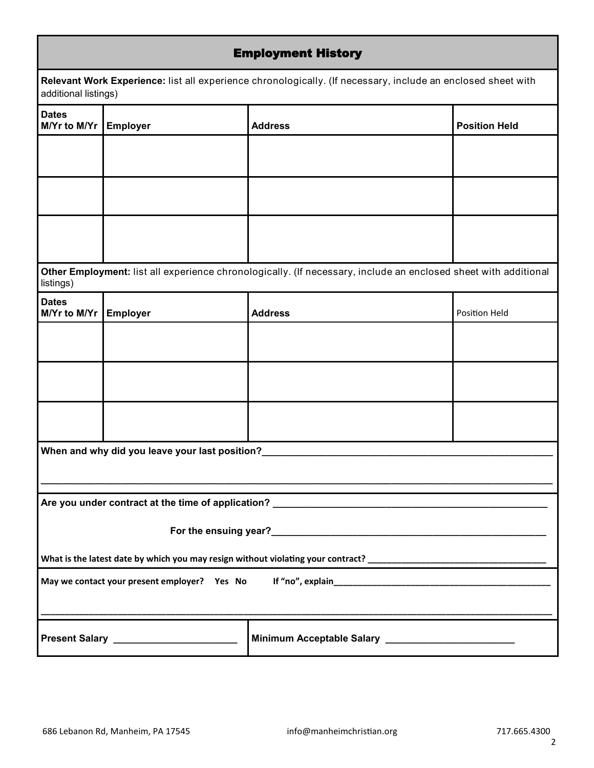| <b>Employment History</b>                                                                                                            |                                                                                                                 |                                                       |                      |  |  |  |
|--------------------------------------------------------------------------------------------------------------------------------------|-----------------------------------------------------------------------------------------------------------------|-------------------------------------------------------|----------------------|--|--|--|
| Relevant Work Experience: list all experience chronologically. (If necessary, include an enclosed sheet with<br>additional listings) |                                                                                                                 |                                                       |                      |  |  |  |
| <b>Dates</b><br>M/Yr to M/Yr                                                                                                         | <b>Employer</b>                                                                                                 | <b>Address</b>                                        | <b>Position Held</b> |  |  |  |
|                                                                                                                                      |                                                                                                                 |                                                       |                      |  |  |  |
|                                                                                                                                      |                                                                                                                 |                                                       |                      |  |  |  |
|                                                                                                                                      |                                                                                                                 |                                                       |                      |  |  |  |
| listings)                                                                                                                            | Other Employment: list all experience chronologically. (If necessary, include an enclosed sheet with additional |                                                       |                      |  |  |  |
| <b>Dates</b><br>M/Yr to M/Yr                                                                                                         | <b>Employer</b>                                                                                                 | <b>Address</b>                                        | Position Held        |  |  |  |
|                                                                                                                                      |                                                                                                                 |                                                       |                      |  |  |  |
|                                                                                                                                      |                                                                                                                 |                                                       |                      |  |  |  |
|                                                                                                                                      |                                                                                                                 |                                                       |                      |  |  |  |
| When and why did you leave your last position?                                                                                       |                                                                                                                 |                                                       |                      |  |  |  |
|                                                                                                                                      |                                                                                                                 |                                                       |                      |  |  |  |
|                                                                                                                                      |                                                                                                                 |                                                       |                      |  |  |  |
|                                                                                                                                      |                                                                                                                 |                                                       |                      |  |  |  |
|                                                                                                                                      |                                                                                                                 |                                                       |                      |  |  |  |
|                                                                                                                                      | Present Salary _________________________                                                                        | Minimum Acceptable Salary ___________________________ |                      |  |  |  |